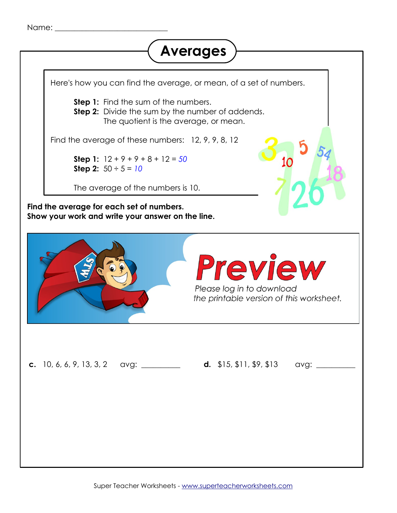```
Name: _____________________________
```
## <span id="page-0-0"></span>**Averages**

Here's how you can find the average, or mean, of a set of numbers. **Step 1:** Find the sum of the numbers. **Step 2:** Divide the sum by the number of addends. The quotient is the average, or mean. Find the average of these numbers: 12, 9, 9, 8, 12 **Step 1:**  $12 + 9 + 9 + 8 + 12 = 50$ **Step 2:**  $50 \div 5 = 10$ The average of the numbers is 10. **Find the average for each set of numbers. Show your work and write your answer on the line. a.** 13, 13, 13, 17 avg: \_\_\_\_\_\_\_\_\_\_ **b.** 15, 20, 25, 30, 35 avg: \_\_\_\_\_\_\_\_\_\_ Preview Please log in to download the printable version of this worksheet. **c.** 10, 6, 6, 9, 13, 3, 2 avg: \_\_\_\_\_\_\_\_\_ **d.** \$15, \$11, \$9, \$13 avg: \_\_\_\_\_\_\_